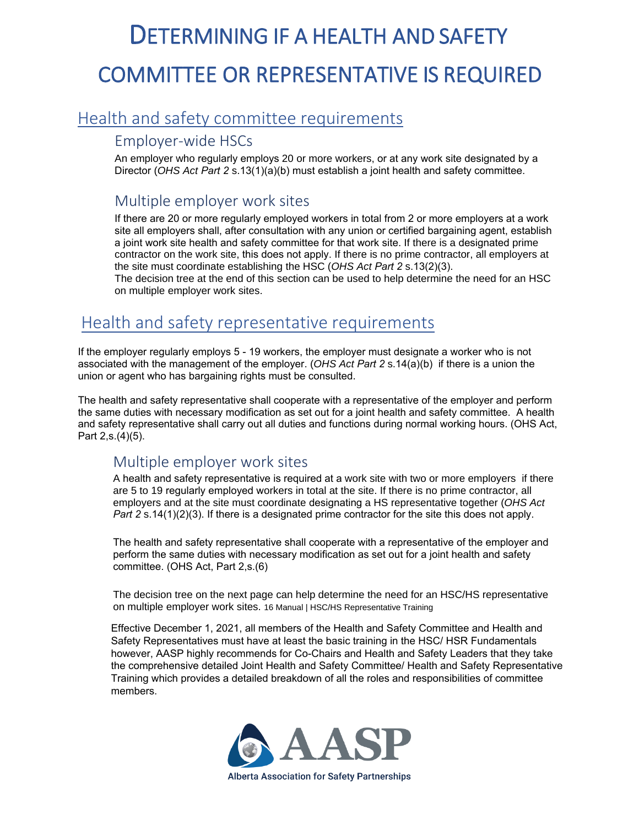# DETERMINING IF A HEALTH AND SAFETY COMMITTEE OR REPRESENTATIVE IS REQUIRED

## Health and safety committee requirements

#### Employer-wide HSCs

An employer who regularly employs 20 or more workers, or at any work site designated by a Director (*OHS Act Part 2* s.13(1)(a)(b) must establish a joint health and safety committee.

### Multiple employer work sites

If there are 20 or more regularly employed workers in total from 2 or more employers at a work site all employers shall, after consultation with any union or certified bargaining agent, establish a joint work site health and safety committee for that work site. If there is a designated prime contractor on the work site, this does not apply. If there is no prime contractor, all employers at the site must coordinate establishing the HSC (*OHS Act Part 2* s.13(2)(3).

The decision tree at the end of this section can be used to help determine the need for an HSC on multiple employer work sites.

## Health and safety representative requirements

If the employer regularly employs 5 - 19 workers, the employer must designate a worker who is not associated with the management of the employer. (*OHS Act Part 2* s.14(a)(b) if there is a union the union or agent who has bargaining rights must be consulted.

The health and safety representative shall cooperate with a representative of the employer and perform the same duties with necessary modification as set out for a joint health and safety committee. A health and safety representative shall carry out all duties and functions during normal working hours. (OHS Act, Part 2,s.(4)(5).

#### Multiple employer work sites

A health and safety representative is required at a work site with two or more employers if there are 5 to 19 regularly employed workers in total at the site. If there is no prime contractor, all employers and at the site must coordinate designating a HS representative together (*OHS Act Part 2* s.14(1)(2)(3). If there is a designated prime contractor for the site this does not apply.

The health and safety representative shall cooperate with a representative of the employer and perform the same duties with necessary modification as set out for a joint health and safety committee. (OHS Act, Part 2,s.(6)

The decision tree on the next page can help determine the need for an HSC/HS representative on multiple employer work sites. 16 Manual | HSC/HS Representative Training

Effective December 1, 2021, all members of the Health and Safety Committee and Health and Safety Representatives must have at least the basic training in the HSC/ HSR Fundamentals however, AASP highly recommends for Co-Chairs and Health and Safety Leaders that they take the comprehensive detailed Joint Health and Safety Committee/ Health and Safety Representative Training which provides a detailed breakdown of all the roles and responsibilities of committee members.